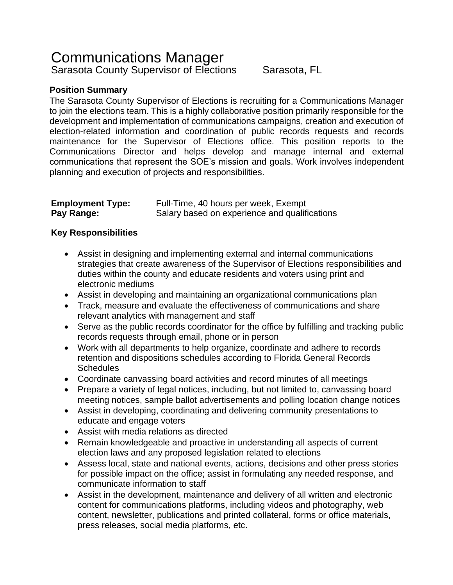# Communications Manager

Sarasota County Supervisor of Elections Sarasota, FL

## **Position Summary**

The Sarasota County Supervisor of Elections is recruiting for a Communications Manager to join the elections team. This is a highly collaborative position primarily responsible for the development and implementation of communications campaigns, creation and execution of election-related information and coordination of public records requests and records maintenance for the Supervisor of Elections office. This position reports to the Communications Director and helps develop and manage internal and external communications that represent the SOE's mission and goals. Work involves independent planning and execution of projects and responsibilities.

| <b>Employment Type:</b> | Full-Time, 40 hours per week, Exempt          |
|-------------------------|-----------------------------------------------|
| Pay Range:              | Salary based on experience and qualifications |

### **Key Responsibilities**

- Assist in designing and implementing external and internal communications strategies that create awareness of the Supervisor of Elections responsibilities and duties within the county and educate residents and voters using print and electronic mediums
- Assist in developing and maintaining an organizational communications plan
- Track, measure and evaluate the effectiveness of communications and share relevant analytics with management and staff
- Serve as the public records coordinator for the office by fulfilling and tracking public records requests through email, phone or in person
- Work with all departments to help organize, coordinate and adhere to records retention and dispositions schedules according to Florida General Records **Schedules**
- Coordinate canvassing board activities and record minutes of all meetings
- Prepare a variety of legal notices, including, but not limited to, canvassing board meeting notices, sample ballot advertisements and polling location change notices
- Assist in developing, coordinating and delivering community presentations to educate and engage voters
- Assist with media relations as directed
- Remain knowledgeable and proactive in understanding all aspects of current election laws and any proposed legislation related to elections
- Assess local, state and national events, actions, decisions and other press stories for possible impact on the office; assist in formulating any needed response, and communicate information to staff
- Assist in the development, maintenance and delivery of all written and electronic content for communications platforms, including videos and photography, web content, newsletter, publications and printed collateral, forms or office materials, press releases, social media platforms, etc.